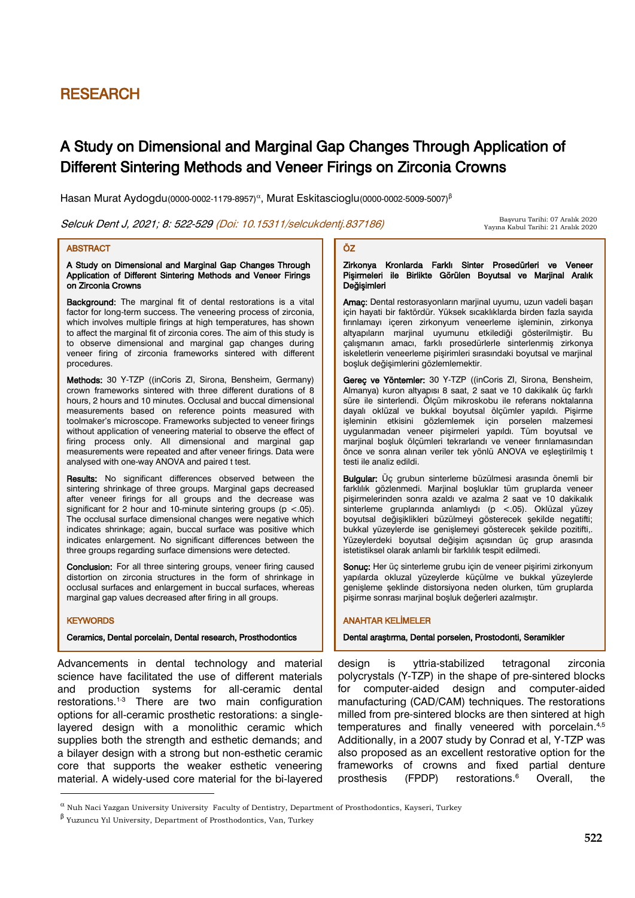# RESEARCH

# A Study on Dimensional and Marginal Gap Changes Through Application of Different Sintering Methods and Veneer Firings on Zirconia Crowns

ÖZ

Hasan Murat Aydogdu(0000-0002-1179-8957)<sup>a</sup>, Murat Eskitascioglu(0000-0002-5009-5007)<sup>β</sup>

Selcuk Dent J, 2021; 8: 522-529 (Doi: 10.15311/selcukdentj.837186)

 Başvuru Tarihi: 07 Aralık 2020 Yayına Kabul Tarihi: 21 Aralık 2020

## **ABSTRACT**

A Study on Dimensional and Marginal Gap Changes Through Application of Different Sintering Methods and Veneer Firings on Zirconia Crowns

Background: The marginal fit of dental restorations is a vital factor for long-term success. The veneering process of zirconia, which involves multiple firings at high temperatures, has shown to affect the marginal fit of zirconia cores. The aim of this study is to observe dimensional and marginal gap changes during veneer firing of zirconia frameworks sintered with different procedures.

Methods: 30 Y-TZP ((inCoris ZI, Sirona, Bensheim, Germany) crown frameworks sintered with three different durations of 8 hours, 2 hours and 10 minutes. Occlusal and buccal dimensional measurements based on reference points measured with toolmaker's microscope. Frameworks subjected to veneer firings without application of veneering material to observe the effect of firing process only. All dimensional and marginal gap measurements were repeated and after veneer firings. Data were analysed with one-way ANOVA and paired t test.

Results: No significant differences observed between the sintering shrinkage of three groups. Marginal gaps decreased after veneer firings for all groups and the decrease was significant for 2 hour and 10-minute sintering groups ( $p < .05$ ). The occlusal surface dimensional changes were negative which indicates shrinkage; again, buccal surface was positive which indicates enlargement. No significant differences between the three groups regarding surface dimensions were detected.

Conclusion: For all three sintering groups, veneer firing caused distortion on zirconia structures in the form of shrinkage in occlusal surfaces and enlargement in buccal surfaces, whereas marginal gap values decreased after firing in all groups.

#### **KEYWORDS**

**.** 

design

#### Ceramics, Dental porcelain, Dental research, Prosthodontics

Advancements in dental technology and material science have facilitated the use of different materials and production systems for all-ceramic dental restorations. 1-3 There are two main configuration options for all-ceramic prosthetic restorations: a singlelayered design with a monolithic ceramic which supplies both the strength and esthetic demands; and a bilayer design with a strong but non-esthetic ceramic core that supports the weaker esthetic veneering material. A widely-used core material for the bi-layered

# zirkonya Kronlarda Farklı Sinter Prosedürleri ve Veneer

Pişirmeleri ile Birlikte Görülen Boyutsal ve Marjinal Aralık Değişimleri Amaç: Dental restorasyonların marjinal uyumu, uzun vadeli başarı

için hayati bir faktördür. Yüksek sıcaklıklarda birden fazla sayıda fırınlamayı içeren zirkonyum veneerleme işleminin, zirkonya altyapıların marjinal uyumunu etkilediği gösterilmiştir. Bu çalışmanın amacı, farklı prosedürlerle sinterlenmiş zirkonya iskeletlerin veneerleme pişirimleri sırasındaki boyutsal ve marjinal boşluk değişimlerini gözlemlemektir.

Gereç ve Yöntemler: 30 Y-TZP ((inCoris ZI, Sirona, Bensheim, Almanya) kuron altyapısı 8 saat, 2 saat ve 10 dakikalık üç farklı süre ile sinterlendi. Ölçüm mikroskobu ile referans noktalarına dayalı oklüzal ve bukkal boyutsal ölçümler yapıldı. Pişirme işleminin etkisini gözlemlemek için porselen malzemesi uygulanmadan veneer pişirmeleri yapıldı. Tüm boyutsal ve marjinal boşluk ölçümleri tekrarlandı ve veneer fırınlamasından önce ve sonra alınan veriler tek yönlü ANOVA ve eşleştirilmiş t testi ile analiz edildi.

Bulgular: Üç grubun sinterleme büzülmesi arasında önemli bir farklılık gözlenmedi. Marjinal boşluklar tüm gruplarda veneer pişirmelerinden sonra azaldı ve azalma 2 saat ve 10 dakikalık sinterleme gruplarında anlamlıydı (p <.05). Oklüzal yüzey boyutsal değişiklikleri büzülmeyi gösterecek şekilde negatifti; bukkal yüzeylerde ise genişlemeyi gösterecek şekilde pozitifti,. Yüzeylerdeki boyutsal değişim açısından üç grup arasında istetistiksel olarak anlamlı bir farklılık tespit edilmedi.

Sonuç: Her üç sinterleme grubu için de veneer pişirimi zirkonyum yapılarda okluzal yüzeylerde küçülme ve bukkal yüzeylerde genişleme şeklinde distorsiyona neden olurken, tüm gruplarda pişirme sonrası marjinal boşluk değerleri azalmıştır.

## ANAHTAR KELİMELER

Dental araştırma, Dental porselen, Prostodonti, Seramikler

design is yttria-stabilized tetragonal zirconia polycrystals (Y-TZP) in the shape of pre-sintered blocks for computer-aided design and computer-aided manufacturing (CAD/CAM) techniques. The restorations milled from pre-sintered blocks are then sintered at high temperatures and finally veneered with porcelain.<sup>4,5</sup> Additionally, in a 2007 study by Conrad et al, Y-TZP was also proposed as an excellent restorative option for the frameworks of crowns and fixed partial denture prosthesis (FPDP) restorations. Overall the

 $^\alpha$  Nuh Naci Yazgan University University Faculty of Dentistry, Department of Prosthodontics, Kayseri, Turkey

β Yuzuncu Yıl University, Department of Prosthodontics, Van, Turkey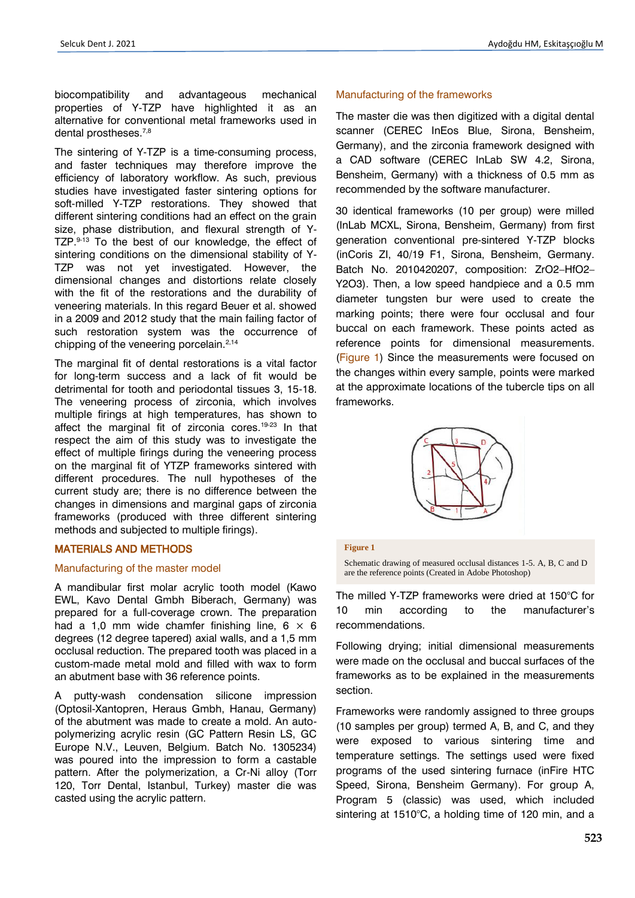biocompatibility and advantageous mechanical properties of Y-TZP have highlighted it as an alternative for conventional metal frameworks used in dental prostheses.<sup>7,8</sup>

The sintering of Y-TZP is a time-consuming process, and faster techniques may therefore improve the efficiency of laboratory workflow. As such, previous studies have investigated faster sintering options for soft-milled Y-TZP restorations. They showed that different sintering conditions had an effect on the grain size, phase distribution, and flexural strength of Y-TZP.<sup>9-13</sup> To the best of our knowledge, the effect of sintering conditions on the dimensional stability of Y-TZP was not yet investigated. However, the dimensional changes and distortions relate closely with the fit of the restorations and the durability of veneering materials. In this regard Beuer et al. showed in a 2009 and 2012 study that the main failing factor of such restoration system was the occurrence of chipping of the veneering porcelain. $2,14$ 

The marginal fit of dental restorations is a vital factor for long-term success and a lack of fit would be detrimental for tooth and periodontal tissues 3, 15-18. The veneering process of zirconia, which involves multiple firings at high temperatures, has shown to affect the marginal fit of zirconia cores.<sup>19-23</sup> In that respect the aim of this study was to investigate the effect of multiple firings during the veneering process on the marginal fit of YTZP frameworks sintered with different procedures. The null hypotheses of the current study are; there is no difference between the changes in dimensions and marginal gaps of zirconia frameworks (produced with three different sintering methods and subjected to multiple firings).

# MATERIALS AND METHODS

# Manufacturing of the master model

A mandibular first molar acrylic tooth model (Kawo EWL, Kavo Dental Gmbh Biberach, Germany) was prepared for a full-coverage crown. The preparation had a 1.0 mm wide chamfer finishing line,  $6 \times 6$ degrees (12 degree tapered) axial walls, and a 1,5 mm occlusal reduction. The prepared tooth was placed in a custom-made metal mold and filled with wax to form an abutment base with 36 reference points.

A putty-wash condensation silicone impression (Optosil-Xantopren, Heraus Gmbh, Hanau, Germany) of the abutment was made to create a mold. An autopolymerizing acrylic resin (GC Pattern Resin LS, GC Europe N.V., Leuven, Belgium. Batch No. 1305234) was poured into the impression to form a castable pattern. After the polymerization, a Cr-Ni alloy (Torr 120, Torr Dental, Istanbul, Turkey) master die was casted using the acrylic pattern.

# Manufacturing of the frameworks

The master die was then digitized with a digital dental scanner (CEREC InEos Blue, Sirona, Bensheim, Germany), and the zirconia framework designed with a CAD software (CEREC InLab SW 4.2, Sirona, Bensheim, Germany) with a thickness of 0.5 mm as recommended by the software manufacturer.

30 identical frameworks (10 per group) were milled (InLab MCXL, Sirona, Bensheim, Germany) from first generation conventional pre-sintered Y-TZP blocks (inCoris ZI, 40/19 F1, Sirona, Bensheim, Germany. Batch No. 2010420207, composition: ZrO2–HfO2– Y2O3). Then, a low speed handpiece and a 0.5 mm diameter tungsten bur were used to create the marking points; there were four occlusal and four buccal on each framework. These points acted as reference points for dimensional measurements. (Figure 1) Since the measurements were focused on the changes within every sample, points were marked at the approximate locations of the tubercle tips on all frameworks.



#### **Figure 1**

Schematic drawing of measured occlusal distances 1-5. A, B, C and D are the reference points (Created in Adobe Photoshop)

The milled Y-TZP frameworks were dried at 150°C for 10 min according to the manufacturer's recommendations.

Following drying; initial dimensional measurements were made on the occlusal and buccal surfaces of the frameworks as to be explained in the measurements section.

Frameworks were randomly assigned to three groups (10 samples per group) termed A, B, and C, and they were exposed to various sintering time and temperature settings. The settings used were fixed programs of the used sintering furnace (inFire HTC Speed, Sirona, Bensheim Germany). For group A, Program 5 (classic) was used, which included sintering at 1510°C, a holding time of 120 min, and a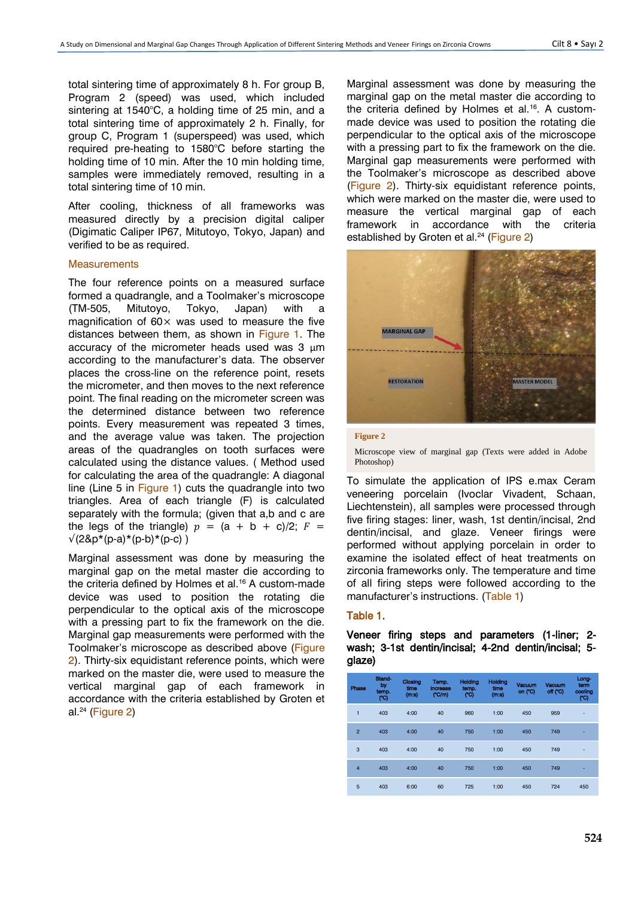total sintering time of approximately 8 h. For group B, Program 2 (speed) was used, which included sintering at 1540°C, a holding time of 25 min, and a total sintering time of approximately 2 h. Finally, for group C, Program 1 (superspeed) was used, which required pre-heating to 1580°C before starting the holding time of 10 min. After the 10 min holding time, samples were immediately removed, resulting in a total sintering time of 10 min.

After cooling, thickness of all frameworks was measured directly by a precision digital caliper (Digimatic Caliper IP67, Mitutoyo, Tokyo, Japan) and verified to be as required.

### **Measurements**

The four reference points on a measured surface formed a quadrangle, and a Toolmaker's microscope (TM-505, Mitutoyo, Tokyo, Japan) with a magnification of  $60 \times$  was used to measure the five distances between them, as shown in Figure 1. The accuracy of the micrometer heads used was 3 μm according to the manufacturer's data. The observer places the cross-line on the reference point, resets the micrometer, and then moves to the next reference point. The final reading on the micrometer screen was the determined distance between two reference points. Every measurement was repeated 3 times, and the average value was taken. The projection areas of the quadrangles on tooth surfaces were calculated using the distance values. ( Method used for calculating the area of the quadrangle: A diagonal line (Line 5 in Figure 1) cuts the quadrangle into two triangles. Area of each triangle (F) is calculated separately with the formula; (given that a,b and c are the legs of the triangle)  $p = (a + b + c)/2$ ;  $F =$  $\sqrt{(2\&p^*(p-a)^*(p-b)^*(p-c)}$ )

Marginal assessment was done by measuring the marginal gap on the metal master die according to the criteria defined by Holmes et al.<sup>16</sup> A custom-made device was used to position the rotating die perpendicular to the optical axis of the microscope with a pressing part to fix the framework on the die. Marginal gap measurements were performed with the Toolmaker's microscope as described above (Figure 2). Thirty-six equidistant reference points, which were marked on the master die, were used to measure the vertical marginal gap of each framework in accordance with the criteria established by Groten et al.<sup>24</sup> (Figure 2)

Marginal assessment was done by measuring the marginal gap on the metal master die according to the criteria defined by Holmes et al.<sup>16</sup>. A custommade device was used to position the rotating die perpendicular to the optical axis of the microscope with a pressing part to fix the framework on the die. Marginal gap measurements were performed with the Toolmaker's microscope as described above (Figure 2). Thirty-six equidistant reference points, which were marked on the master die, were used to measure the vertical marginal gap of each framework in accordance with the criteria established by Groten et al.<sup>24</sup> (Figure 2)



#### **Figure 2**

Microscope view of marginal gap (Texts were added in Adobe Photoshop)

To simulate the application of IPS e.max Ceram veneering porcelain (Ivoclar Vivadent, Schaan, Liechtenstein), all samples were processed through five firing stages: liner, wash, 1st dentin/incisal, 2nd dentin/incisal, and glaze. Veneer firings were performed without applying porcelain in order to examine the isolated effect of heat treatments on zirconia frameworks only. The temperature and time of all firing steps were followed according to the manufacturer's instructions. (Table 1)

# Table 1.

Veneer firing steps and parameters (1-liner; 2 wash; 3-1st dentin/incisal; 4-2nd dentin/incisal; 5 glaze)

| Phase          | Stand-<br>by<br>temp.<br>(°C) | Closing<br>time<br>(m:s) | Temp.<br>increase<br>(C/m) | <b>Holding</b><br>temp.<br>(C) | <b>Holding</b><br>time<br>(m:s) | <b>Vacuum</b><br>on $(C)$ | <b>Vacuum</b><br>off (°C) | Long-<br>term<br>cooling<br>(°C) |  |  |
|----------------|-------------------------------|--------------------------|----------------------------|--------------------------------|---------------------------------|---------------------------|---------------------------|----------------------------------|--|--|
| 1              | 403                           | 4:00                     | 40                         | 960                            | 1:00                            | 450                       | 959                       | ٠                                |  |  |
| $\overline{2}$ | 403                           | 4:00                     | 40                         | 750                            | 1:00                            | 450                       | 749                       | ۰                                |  |  |
| 3              | 403                           | 4:00                     | 40                         | 750                            | 1:00                            | 450                       | 749                       | ۰                                |  |  |
| $\overline{4}$ | 403                           | 4:00                     | 40                         | 750                            | 1:00                            | 450                       | 749                       | ٠                                |  |  |
| 5              | 403                           | 6:00                     | 60                         | 725                            | 1:00                            | 450                       | 724                       | 450                              |  |  |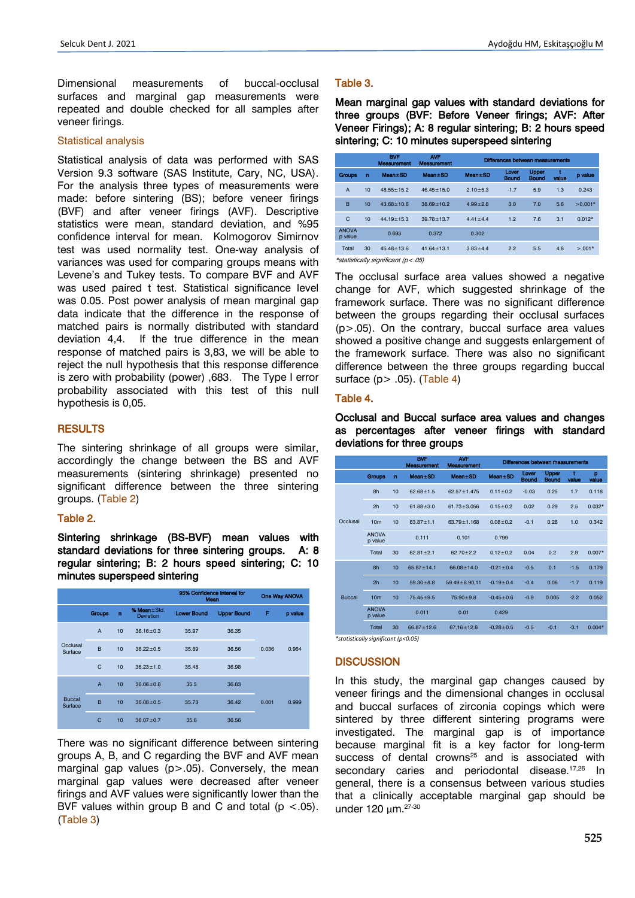Dimensional measurements of buccal-occlusal surfaces and marginal gap measurements were repeated and double checked for all samples after veneer firings.

## Statistical analysis

Statistical analysis of data was performed with SAS Version 9.3 software (SAS Institute, Cary, NC, USA). For the analysis three types of measurements were made: before sintering (BS); before veneer firings (BVF) and after veneer firings (AVF). Descriptive statistics were mean, standard deviation, and %95 confidence interval for mean. Kolmogorov Simirnov test was used normality test. One-way analysis of variances was used for comparing groups means with Levene's and Tukey tests. To compare BVF and AVF was used paired t test. Statistical significance level was 0.05. Post power analysis of mean marginal gap data indicate that the difference in the response of matched pairs is normally distributed with standard deviation 4,4. If the true difference in the mean response of matched pairs is 3,83, we will be able to reject the null hypothesis that this response difference is zero with probability (power) ,683. The Type I error probability associated with this test of this null hypothesis is 0,05.

# **RESULTS**

The sintering shrinkage of all groups were similar, accordingly the change between the BS and AVF measurements (sintering shrinkage) presented no significant difference between the three sintering groups. (Table 2)

# Table 2.

Sintering shrinkage (BS-BVF) mean values with standard deviations for three sintering groups. A: 8 regular sintering; B: 2 hours speed sintering; C: 10 minutes superspeed sintering

|                     |                      |    |                                 | 95% Confidence Interval for<br><b>Mean</b> |                    | One Way ANOVA |         |
|---------------------|----------------------|----|---------------------------------|--------------------------------------------|--------------------|---------------|---------|
|                     | Groups               | n  | % Mean±Std.<br><b>Deviation</b> | <b>Lower Bound</b>                         | <b>Upper Bound</b> | F             | p value |
|                     | $\overline{A}$       | 10 | $36.16 + 0.3$                   | 35.97                                      | 36.35              |               |         |
| Occlusal<br>Surface | B<br>10              |    | $36.22 \pm 0.5$                 | 35.89                                      | 36.56              | 0.036         | 0.964   |
|                     | C                    | 10 | $36.23 + 1.0$                   | 35.48                                      | 36.98              |               |         |
|                     | $\overline{A}$<br>10 |    | $36.06 + 0.8$                   | 35.5                                       | 36.63              |               |         |
| Buccal<br>Surface   | B                    | 10 | $36.08 + 0.5$                   | 35.73                                      | 36.42              | 0.001         | 0.999   |
|                     | C                    | 10 | $36.07 + 0.7$                   | 35.6                                       | 36.56              |               |         |

There was no significant difference between sintering groups A, B, and C regarding the BVF and AVF mean marginal gap values  $(p>0.05)$ . Conversely, the mean marginal gap values were decreased after veneer firings and AVF values were significantly lower than the BVF values within group B and C and total ( $p < .05$ ). (Table 3)

# Table 3.

Mean marginal gap values with standard deviations for three groups (BVF: Before Veneer firings; AVF: After Veneer Firings); A: 8 regular sintering; B: 2 hours speed sintering; C: 10 minutes superspeed sintering

|                         |                 | <b>BVF</b><br><b>Measurement</b>   | <b>AVF</b><br><b>Measurement</b> | Differences between measurements |                |                       |       |            |
|-------------------------|-----------------|------------------------------------|----------------------------------|----------------------------------|----------------|-----------------------|-------|------------|
| Groups                  | n               | Mean±SD                            | <b>Mean</b> ±SD                  | Mean±SD                          | Lover<br>Bound | <b>Upper</b><br>Bound | value | p value    |
| A                       | 10 <sup>1</sup> | $48.55 + 15.2$                     | $46.45 + 15.0$                   | $2.10 + 5.3$                     | $-1.7$         | 5.9                   | 1.3   | 0.243      |
| B                       | 10              | $43.68 + 10.6$                     | $38.69 + 10.2$                   | $4.99 + 2.8$                     | 3.0            | 7.0                   | 5.6   | $>0.001*$  |
| C                       | 10 <sup>1</sup> | $44.19 + 15.3$                     | $39.78 + 13.7$                   | $4.41 + 4.4$                     | 1.2            | 7.6                   | 3.1   | $0.012*$   |
| <b>ANOVA</b><br>p value |                 | 0.693                              | 0.372                            | 0.302                            |                |                       |       |            |
| Total                   | 30              | $45.48 + 13.6$                     | $41.64 + 13.1$                   | $3.83 + 4.4$                     | 2.2            | 5.5                   | 4.8   | $> 0.001*$ |
|                         |                 | *statistically significant (p<.05) |                                  |                                  |                |                       |       |            |

The occlusal surface area values showed a negative change for AVF, which suggested shrinkage of the framework surface. There was no significant difference between the groups regarding their occlusal surfaces (p>.05). On the contrary, buccal surface area values showed a positive change and suggests enlargement of the framework surface. There was also no significant difference between the three groups regarding buccal surface (p> .05). (Table 4)

# Table 4.

Occlusal and Buccal surface area values and changes as percentages after veneer firings with standard deviations for three groups

|                                     |                         | <b>BVF</b><br><b>Measurement</b> | <b>AVF</b><br><b>Measurement</b> | <b>Differences between measurements</b> |                 |                       |                       |            |            |
|-------------------------------------|-------------------------|----------------------------------|----------------------------------|-----------------------------------------|-----------------|-----------------------|-----------------------|------------|------------|
|                                     | <b>Groups</b>           | $\mathbf{r}$                     | <b>Mean±SD</b>                   | Mean±SD                                 | <b>Mean</b> ±SD | Lover<br><b>Bound</b> | Upper<br><b>Bound</b> | ŧ<br>value | p<br>value |
|                                     | 8h                      | 10                               | $62.68 + 1.5$                    | $62.57 + 1.475$                         | $0.11 + 0.2$    | $-0.03$               | 0.25                  | 1.7        | 0.118      |
|                                     | 2h                      | 10                               | $61.88 + 3.0$                    | $61.73 + 3.056$                         | $0.15 + 0.2$    | 0.02                  | 0.29                  | 2.5        | $0.032*$   |
| Occlusal                            | 10 <sub>m</sub>         | 10                               | $63.87 + 1.1$                    | $63.79 + 1.168$                         | $0.08 + 0.2$    | $-0.1$                | 0.28                  | 1.0        | 0.342      |
|                                     | <b>ANOVA</b><br>p value |                                  | 0.111                            | 0.101                                   | 0.799           |                       |                       |            |            |
|                                     | Total                   | 30                               | $62.81 + 2.1$                    | $62.70 + 2.2$                           | $0.12 + 0.2$    | 0.04                  | 0.2                   | 2.9        | $0.007*$   |
|                                     | 8h                      | 10                               | $65.87 \pm 14.1$                 | $66.08 \pm 14.0$                        | $-0.21 \pm 0.4$ | $-0.5$                | 0.1                   | $-1.5$     | 0.179      |
|                                     | 2 <sub>h</sub>          | 10                               | $59.30 + 8.8$                    | $59.49 \pm 8.90, 11$                    | $-0.19 + 0.4$   | $-0.4$                | 0.06                  | $-1.7$     | 0.119      |
| Buccal                              | 10 <sub>m</sub>         | 10                               | $75.45 + 9.5$                    | $75.90 + 9.8$                           | $-0.45 + 0.6$   | $-0.9$                | 0.005                 | $-2.2$     | 0.052      |
|                                     | <b>ANOVA</b><br>p value |                                  | 0.011                            | 0.01                                    | 0.429           |                       |                       |            |            |
|                                     | Total                   | 30                               | $66.87 + 12.6$                   | $67.16 + 12.8$                          | $-0.28 + 0.5$   | $-0.5$                | $-0.1$                | $-3.1$     | $0.004*$   |
| *statistically significant (p<0.05) |                         |                                  |                                  |                                         |                 |                       |                       |            |            |

# **DISCUSSION**

In this study, the marginal gap changes caused by veneer firings and the dimensional changes in occlusal and buccal surfaces of zirconia copings which were sintered by three different sintering programs were investigated. The marginal gap is of importance because marginal fit is a key factor for long-term success of dental crowns<sup>25</sup> and is associated with secondary caries and periodontal disease.<sup>17,26</sup> In general, there is a consensus between various studies that a clinically acceptable marginal gap should be under 120 μm.<sup>27-30</sup>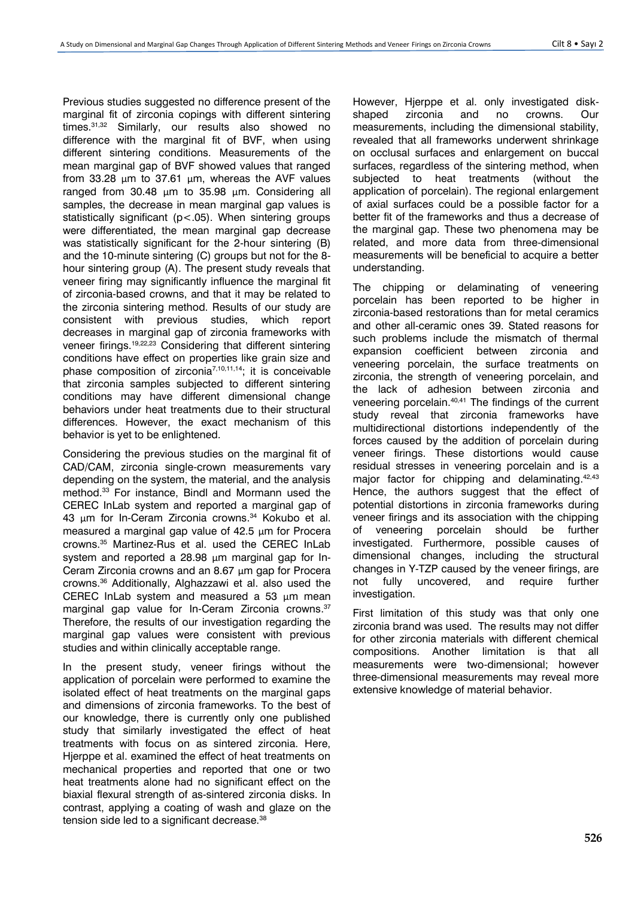Previous studies suggested no difference present of the marginal fit of zirconia copings with different sintering times.31,32 Similarly, our results also showed no difference with the marginal fit of BVF, when using different sintering conditions. Measurements of the mean marginal gap of BVF showed values that ranged from 33.28  $\mu$ m to 37.61  $\mu$ m, whereas the AVF values ranged from 30.48 μm to 35.98 μm. Considering all samples, the decrease in mean marginal gap values is statistically significant (p<.05). When sintering groups were differentiated, the mean marginal gap decrease was statistically significant for the 2-hour sintering (B) and the 10-minute sintering (C) groups but not for the 8 hour sintering group (A). The present study reveals that veneer firing may significantly influence the marginal fit of zirconia-based crowns, and that it may be related to the zirconia sintering method. Results of our study are consistent with previous studies, which report decreases in marginal gap of zirconia frameworks with veneer firings.<sup>19,22,23</sup> Considering that different sintering conditions have effect on properties like grain size and phase composition of zirconia<sup>7,10,11,14</sup>; it is conceivable that zirconia samples subjected to different sintering conditions may have different dimensional change behaviors under heat treatments due to their structural differences. However, the exact mechanism of this behavior is yet to be enlightened.

Considering the previous studies on the marginal fit of CAD/CAM, zirconia single-crown measurements vary depending on the system, the material, and the analysis method. <sup>33</sup> For instance, Bindl and Mormann used the CEREC InLab system and reported a marginal gap of 43 μm for In-Ceram Zirconia crowns. <sup>34</sup> Kokubo et al. measured a marginal gap value of 42.5 μm for Procera crowns. <sup>35</sup> Martinez-Rus et al. used the CEREC InLab system and reported a 28.98 μm marginal gap for In-Ceram Zirconia crowns and an 8.67 μm gap for Procera crowns.<sup>36</sup> Additionally, Alghazzawi et al. also used the CEREC InLab system and measured a 53 μm mean marginal gap value for In-Ceram Zirconia crowns. 37 Therefore, the results of our investigation regarding the marginal gap values were consistent with previous studies and within clinically acceptable range.

In the present study, veneer firings without the application of porcelain were performed to examine the isolated effect of heat treatments on the marginal gaps and dimensions of zirconia frameworks. To the best of our knowledge, there is currently only one published study that similarly investigated the effect of heat treatments with focus on as sintered zirconia. Here, Hjerppe et al. examined the effect of heat treatments on mechanical properties and reported that one or two heat treatments alone had no significant effect on the biaxial flexural strength of as-sintered zirconia disks. In contrast, applying a coating of wash and glaze on the tension side led to a significant decrease.<sup>38</sup>

However, Hjerppe et al. only investigated diskshaped zirconia and no crowns. Our measurements, including the dimensional stability, revealed that all frameworks underwent shrinkage on occlusal surfaces and enlargement on buccal surfaces, regardless of the sintering method, when subjected to heat treatments (without the application of porcelain). The regional enlargement of axial surfaces could be a possible factor for a better fit of the frameworks and thus a decrease of the marginal gap. These two phenomena may be related, and more data from three-dimensional measurements will be beneficial to acquire a better understanding.

The chipping or delaminating of veneering porcelain has been reported to be higher in zirconia-based restorations than for metal ceramics and other all-ceramic ones 39. Stated reasons for such problems include the mismatch of thermal expansion coefficient between zirconia and veneering porcelain, the surface treatments on zirconia, the strength of veneering porcelain, and the lack of adhesion between zirconia and veneering porcelain.<sup>40,41</sup> The findings of the current study reveal that zirconia frameworks have multidirectional distortions independently of the forces caused by the addition of porcelain during veneer firings. These distortions would cause residual stresses in veneering porcelain and is a major factor for chipping and delaminating.<sup>42,43</sup> Hence, the authors suggest that the effect of potential distortions in zirconia frameworks during veneer firings and its association with the chipping of veneering porcelain should be further investigated. Furthermore, possible causes of dimensional changes, including the structural changes in Y-TZP caused by the veneer firings, are not fully uncovered, and require further investigation.

First limitation of this study was that only one zirconia brand was used. The results may not differ for other zirconia materials with different chemical compositions. Another limitation is that all measurements were two-dimensional; however three-dimensional measurements may reveal more extensive knowledge of material behavior.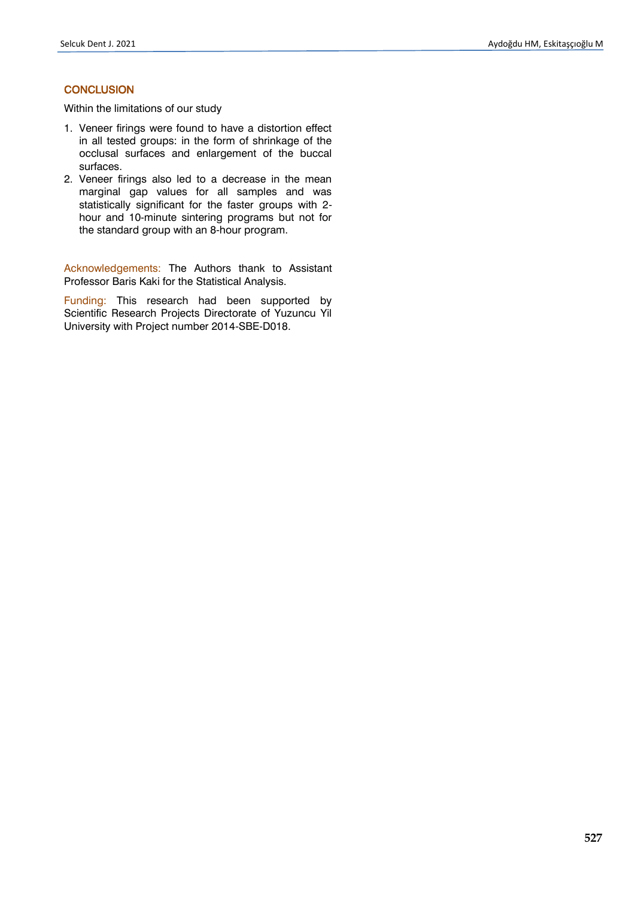# **CONCLUSION**

Within the limitations of our study

- 1. Veneer firings were found to have a distortion effect in all tested groups: in the form of shrinkage of the occlusal surfaces and enlargement of the buccal surfaces.
- 2. Veneer firings also led to a decrease in the mean marginal gap values for all samples and was statistically significant for the faster groups with 2 hour and 10-minute sintering programs but not for the standard group with an 8-hour program.

Acknowledgements: The Authors thank to Assistant Professor Baris Kaki for the Statistical Analysis.

Funding: This research had been supported by Scientific Research Projects Directorate of Yuzuncu Yil University with Project number 2014-SBE-D018.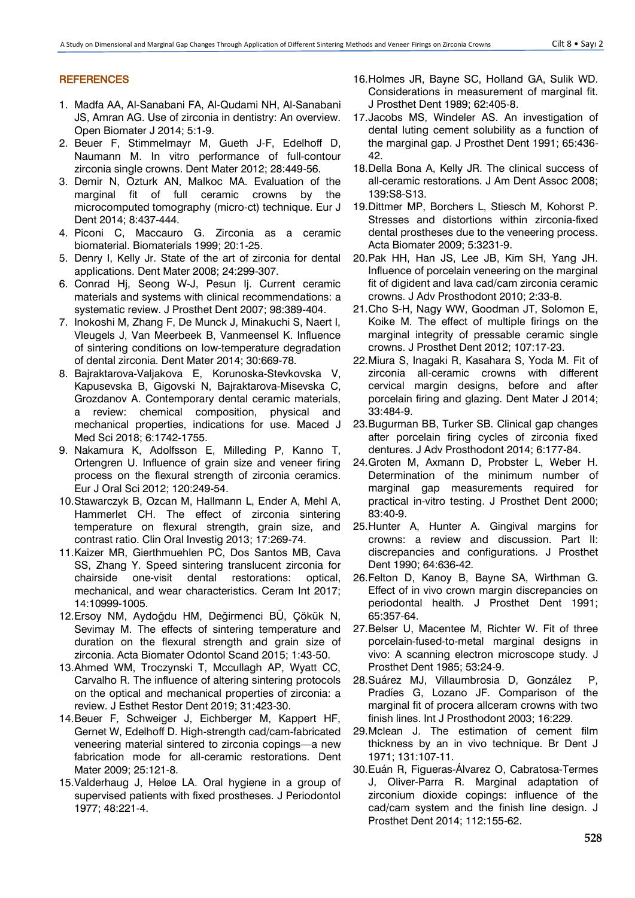# **REFERENCES**

- 1. Madfa AA, Al-Sanabani FA, Al-Qudami NH, Al-Sanabani JS, Amran AG. Use of zirconia in dentistry: An overview. Open Biomater J 2014; 5:1-9.
- 2. Beuer F, Stimmelmayr M, Gueth J-F, Edelhoff D, Naumann M. In vitro performance of full-contour zirconia single crowns. Dent Mater 2012; 28:449-56.
- 3. Demir N, Ozturk AN, Malkoc MA. Evaluation of the marginal fit of full ceramic crowns by the microcomputed tomography (micro-ct) technique. Eur J Dent 2014; 8:437-444.
- 4. Piconi C, Maccauro G. Zirconia as a ceramic biomaterial. Biomaterials 1999; 20:1-25.
- 5. Denry I, Kelly Jr. State of the art of zirconia for dental applications. Dent Mater 2008; 24:299-307.
- 6. Conrad Hj, Seong W-J, Pesun Ij. Current ceramic materials and systems with clinical recommendations: a systematic review. J Prosthet Dent 2007; 98:389-404.
- 7. Inokoshi M, Zhang F, De Munck J, Minakuchi S, Naert I, Vleugels J, Van Meerbeek B, Vanmeensel K. Influence of sintering conditions on low-temperature degradation of dental zirconia. Dent Mater 2014; 30:669-78.
- 8. Bajraktarova-Valjakova E, Korunoska-Stevkovska V, Kapusevska B, Gigovski N, Bajraktarova-Misevska C, Grozdanov A. Contemporary dental ceramic materials, a review: chemical composition, physical and mechanical properties, indications for use. Maced J Med Sci 2018; 6:1742-1755.
- 9. Nakamura K, Adolfsson E, Milleding P, Kanno T, Ortengren U. Influence of grain size and veneer firing process on the flexural strength of zirconia ceramics. Eur J Oral Sci 2012; 120:249-54.
- 10.Stawarczyk B, Ozcan M, Hallmann L, Ender A, Mehl A, Hammerlet CH. The effect of zirconia sintering temperature on flexural strength, grain size, and contrast ratio. Clin Oral Investig 2013; 17:269-74.
- 11.Kaizer MR, Gierthmuehlen PC, Dos Santos MB, Cava SS, Zhang Y. Speed sintering translucent zirconia for chairside one-visit dental restorations: optical, mechanical, and wear characteristics. Ceram Int 2017; 14:10999-1005.
- 12.Ersoy NM, Aydoğdu HM, Değirmenci BÜ, Çökük N, Sevimay M. The effects of sintering temperature and duration on the flexural strength and grain size of zirconia. Acta Biomater Odontol Scand 2015; 1:43-50.
- 13.Ahmed WM, Troczynski T, Mccullagh AP, Wyatt CC, Carvalho R. The influence of altering sintering protocols on the optical and mechanical properties of zirconia: a review. J Esthet Restor Dent 2019; 31:423-30.
- 14.Beuer F, Schweiger J, Eichberger M, Kappert HF, Gernet W, Edelhoff D. High-strength cad/cam-fabricated veneering material sintered to zirconia copings—a new fabrication mode for all-ceramic restorations. Dent Mater 2009; 25:121-8.
- 15.Valderhaug J, Heløe LA. Oral hygiene in a group of supervised patients with fixed prostheses. J Periodontol 1977; 48:221-4.
- 16.Holmes JR, Bayne SC, Holland GA, Sulik WD. Considerations in measurement of marginal fit. J Prosthet Dent 1989; 62:405-8.
- 17.Jacobs MS, Windeler AS. An investigation of dental luting cement solubility as a function of the marginal gap. J Prosthet Dent 1991; 65:436- 42.
- 18.Della Bona A, Kelly JR. The clinical success of all-ceramic restorations. J Am Dent Assoc 2008; 139:S8-S13.
- 19.Dittmer MP, Borchers L, Stiesch M, Kohorst P. Stresses and distortions within zirconia-fixed dental prostheses due to the veneering process. Acta Biomater 2009; 5:3231-9.
- 20.Pak HH, Han JS, Lee JB, Kim SH, Yang JH. Influence of porcelain veneering on the marginal fit of digident and lava cad/cam zirconia ceramic crowns. J Adv Prosthodont 2010; 2:33-8.
- 21.Cho S-H, Nagy WW, Goodman JT, Solomon E, Koike M. The effect of multiple firings on the marginal integrity of pressable ceramic single crowns. J Prosthet Dent 2012; 107:17-23.
- 22.Miura S, Inagaki R, Kasahara S, Yoda M. Fit of zirconia all-ceramic crowns with different cervical margin designs, before and after porcelain firing and glazing. Dent Mater J 2014; 33:484-9.
- 23.Bugurman BB, Turker SB. Clinical gap changes after porcelain firing cycles of zirconia fixed dentures. J Adv Prosthodont 2014; 6:177-84.
- 24.Groten M, Axmann D, Probster L, Weber H. Determination of the minimum number of marginal gap measurements required for practical in-vitro testing. J Prosthet Dent 2000; 83:40-9.
- 25.Hunter A, Hunter A. Gingival margins for crowns: a review and discussion. Part II: discrepancies and configurations. J Prosthet Dent 1990; 64:636-42.
- 26.Felton D, Kanoy B, Bayne SA, Wirthman G. Effect of in vivo crown margin discrepancies on periodontal health. J Prosthet Dent 1991; 65:357-64.
- 27.Belser U, Macentee M, Richter W. Fit of three porcelain-fused-to-metal marginal designs in vivo: A scanning electron microscope study. J Prosthet Dent 1985; 53:24-9.
- 28.Suárez MJ, Villaumbrosia D, González P, Pradíes G, Lozano JF. Comparison of the marginal fit of procera allceram crowns with two finish lines. Int J Prosthodont 2003; 16:229.
- 29.Mclean J. The estimation of cement film thickness by an in vivo technique. Br Dent J 1971; 131:107-11.
- 30.Euán R, Figueras-Álvarez O, Cabratosa-Termes J, Oliver-Parra R. Marginal adaptation of zirconium dioxide copings: influence of the cad/cam system and the finish line design. J Prosthet Dent 2014; 112:155-62.